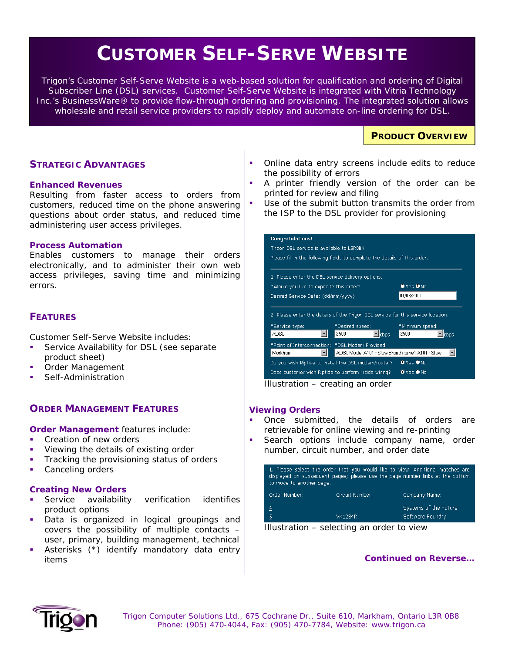# **CUSTOMER SELF-SERVE WEBSITE**

*Trigon's Customer Self-Serve Website is a web-based solution for qualification and ordering of Digital Subscriber Line (DSL) services. Customer Self-Serve Website is integrated with Vitria Technology*  Inc.'s BusinessWare<sup>®</sup> to provide flow-through ordering and provisioning. The integrated solution allows *wholesale and retail service providers to rapidly deploy and automate on-line ordering for DSL.*

# **PRODUCT OVERVIEW**

## **STRATEGIC ADVANTAGES**

#### **Enhanced Revenues**

Resulting from faster access to orders from customers, reduced time on the phone answering questions about order status, and reduced time administering user access privileges.

#### **Process Automation**

Enables customers to manage their orders electronically, and to administer their own web access privileges, saving time and minimizing errors.

## **FEATURES**

Customer Self-Serve Website includes:

- Service Availability for DSL *(see separate product sheet)*
- Order Management
- Self-Administration

## **ORDER MANAGEMENT FEATURES**

**Order Management features include:** 

- Creation of new orders
- Viewing the details of existing order
- Tracking the provisioning status of orders
- Canceling orders

## **Creating New Orders**

- Service availability verification identifies product options
- **Data is organized in logical groupings and** covers the possibility of multiple contacts – user, primary, building management, technical
- Asterisks (\*) identify mandatory data entry items
- Online data entry screens include edits to reduce the possibility of errors
- A *printer friendly* version of the order can be printed for review and filing

 Use of the *submit* button transmits the order from the ISP to the DSL provider for provisioning

| <b>Congratulations!</b>                                                            |                                                                                  |                            |  |  |  |
|------------------------------------------------------------------------------------|----------------------------------------------------------------------------------|----------------------------|--|--|--|
| Trigon DSL service is available to L3R0B4.                                         |                                                                                  |                            |  |  |  |
| Please fill in the following fields to complete the details of this order.         |                                                                                  |                            |  |  |  |
|                                                                                    |                                                                                  |                            |  |  |  |
| 1. Please enter the DSL service delivery options.                                  |                                                                                  |                            |  |  |  |
| *Would you like to expedite this order?                                            |                                                                                  | $\bullet$ Yes $\bullet$ No |  |  |  |
| Desired Service Date: (dd/mm/yyyy)                                                 |                                                                                  | 01/03/2001                 |  |  |  |
|                                                                                    |                                                                                  |                            |  |  |  |
|                                                                                    | 2. Please enter the details of the Trigon DSL service for this service location. |                            |  |  |  |
| *Service type:                                                                     | *Desired speed:                                                                  | *Minimum speed:            |  |  |  |
| ADSL                                                                               | 2500<br>$\blacksquare$ kbps                                                      | 2500<br>kbps               |  |  |  |
| *Point of Interconnection: *DSL Modem Provided:                                    |                                                                                  |                            |  |  |  |
| Markham                                                                            | ADSL Model A101 - Slow Brand name1 A101 - Slow                                   |                            |  |  |  |
| $\bullet$ Yes $\bullet$ No<br>Do you wish Riptide to install the DSL modem/router? |                                                                                  |                            |  |  |  |
| <b>O</b> Yes ONo<br>Does customer wish Riptide to perform inside wiring?           |                                                                                  |                            |  |  |  |
| $lll$ ustration areating an arder                                                  |                                                                                  |                            |  |  |  |

*Illustration – creating an order* 

#### **Viewing Orders**

 Once submitted, the details of orders are retrievable for online viewing and re-printing

 Search options include company name, order number, circuit number, and order date

| 1. Please select the order that you would like to view. Additional matches are<br>displayed on subsequent pages; please use the page number links at the bottom<br>to move to another page. |                 |                                           |  |
|---------------------------------------------------------------------------------------------------------------------------------------------------------------------------------------------|-----------------|-------------------------------------------|--|
| Order Number:                                                                                                                                                                               | Circuit Numher: | Company Name:                             |  |
| $\overline{4}$<br>$\overline{5}$                                                                                                                                                            | VK1234R         | Systems of the Future<br>Software Foundry |  |



## *Continued on Reverse…*



 *Trigon Computer Solutions Ltd., 675 Cochrane Dr., Suite 610, Markham, Ontario L3R 0B8 Phone: (905) 470-4044, Fax: (905) 470-7784, Website: www.trigon.ca*